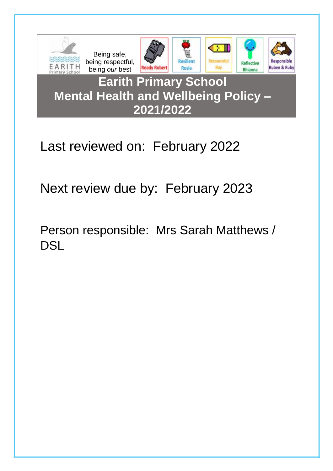

# Last reviewed on: February 2022

Next review due by: February 2023

Person responsible: Mrs Sarah Matthews / **DSL**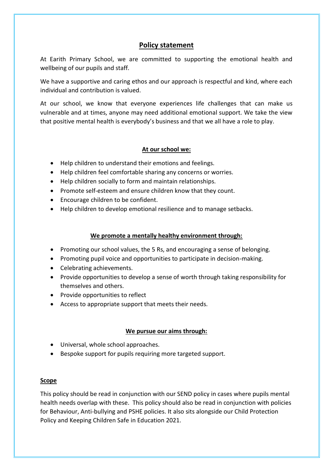# **Policy statement**

At Earith Primary School, we are committed to supporting the emotional health and wellbeing of our pupils and staff.

We have a supportive and caring ethos and our approach is respectful and kind, where each individual and contribution is valued.

At our school, we know that everyone experiences life challenges that can make us vulnerable and at times, anyone may need additional emotional support. We take the view that positive mental health is everybody's business and that we all have a role to play.

#### **At our school we:**

- Help children to understand their emotions and feelings.
- Help children feel comfortable sharing any concerns or worries.
- Help children socially to form and maintain relationships.
- Promote self-esteem and ensure children know that they count.
- Encourage children to be confident.
- Help children to develop emotional resilience and to manage setbacks.

#### **We promote a mentally healthy environment through:**

- Promoting our school values, the 5 Rs, and encouraging a sense of belonging.
- Promoting pupil voice and opportunities to participate in decision-making.
- Celebrating achievements.
- Provide opportunities to develop a sense of worth through taking responsibility for themselves and others.
- Provide opportunities to reflect
- Access to appropriate support that meets their needs.

## **We pursue our aims through:**

- Universal, whole school approaches.
- Bespoke support for pupils requiring more targeted support.

#### **Scope**

This policy should be read in conjunction with our SEND policy in cases where pupils mental health needs overlap with these. This policy should also be read in conjunction with policies for Behaviour, Anti-bullying and PSHE policies. It also sits alongside our Child Protection Policy and Keeping Children Safe in Education 2021.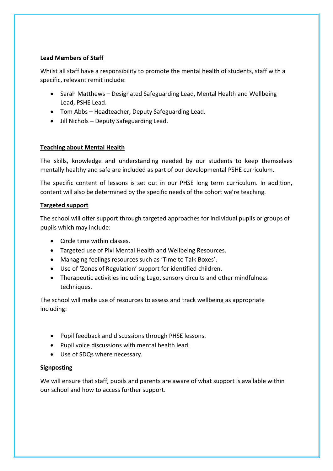## **Lead Members of Staff**

Whilst all staff have a responsibility to promote the mental health of students, staff with a specific, relevant remit include:

- Sarah Matthews Designated Safeguarding Lead, Mental Health and Wellbeing Lead, PSHE Lead.
- Tom Abbs Headteacher, Deputy Safeguarding Lead.
- Jill Nichols Deputy Safeguarding Lead.

## **Teaching about Mental Health**

The skills, knowledge and understanding needed by our students to keep themselves mentally healthy and safe are included as part of our developmental PSHE curriculum.

The specific content of lessons is set out in our PHSE long term curriculum. In addition, content will also be determined by the specific needs of the cohort we're teaching.

## **Targeted support**

The school will offer support through targeted approaches for individual pupils or groups of pupils which may include:

- Circle time within classes.
- Targeted use of Pixl Mental Health and Wellbeing Resources.
- Managing feelings resources such as 'Time to Talk Boxes'.
- Use of 'Zones of Regulation' support for identified children.
- Therapeutic activities including Lego, sensory circuits and other mindfulness techniques.

The school will make use of resources to assess and track wellbeing as appropriate including:

- Pupil feedback and discussions through PHSE lessons.
- Pupil voice discussions with mental health lead.
- Use of SDQs where necessary.

## **Signposting**

We will ensure that staff, pupils and parents are aware of what support is available within our school and how to access further support.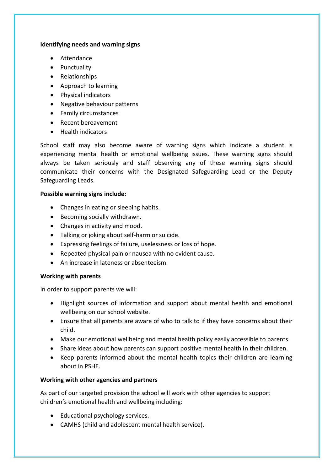#### **Identifying needs and warning signs**

- Attendance
- Punctuality
- Relationships
- Approach to learning
- Physical indicators
- Negative behaviour patterns
- Family circumstances
- Recent bereavement
- Health indicators

School staff may also become aware of warning signs which indicate a student is experiencing mental health or emotional wellbeing issues. These warning signs should always be taken seriously and staff observing any of these warning signs should communicate their concerns with the Designated Safeguarding Lead or the Deputy Safeguarding Leads.

#### **Possible warning signs include:**

- Changes in eating or sleeping habits.
- Becoming socially withdrawn.
- Changes in activity and mood.
- Talking or joking about self-harm or suicide.
- Expressing feelings of failure, uselessness or loss of hope.
- Repeated physical pain or nausea with no evident cause.
- An increase in lateness or absenteeism.

## **Working with parents**

In order to support parents we will:

- Highlight sources of information and support about mental health and emotional wellbeing on our school website.
- Ensure that all parents are aware of who to talk to if they have concerns about their child.
- Make our emotional wellbeing and mental health policy easily accessible to parents.
- Share ideas about how parents can support positive mental health in their children.
- Keep parents informed about the mental health topics their children are learning about in PSHE.

## **Working with other agencies and partners**

As part of our targeted provision the school will work with other agencies to support children's emotional health and wellbeing including:

- Educational psychology services.
- CAMHS (child and adolescent mental health service).